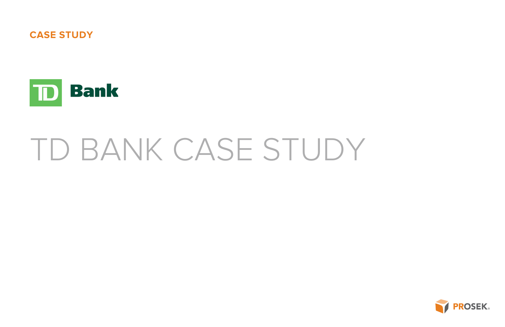# TD BANK CASE STUDY





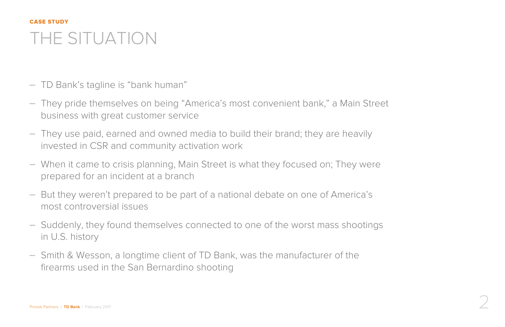## THE SITUATION CASE STUDY

- TD Bank's tagline is "bank human"
- They pride themselves on being "America's most convenient bank," a Main Street business with great customer service
- They use paid, earned and owned media to build their brand; they are heavily invested in CSR and community activation work
- When it came to crisis planning, Main Street is what they focused on; They were prepared for an incident at a branch
- But they weren't prepared to be part of a national debate on one of America's most controversial issues
- Suddenly, they found themselves connected to one of the worst mass shootings in U.S. history
- Smith & Wesson, a longtime client of TD Bank, was the manufacturer of the firearms used in the San Bernardino shooting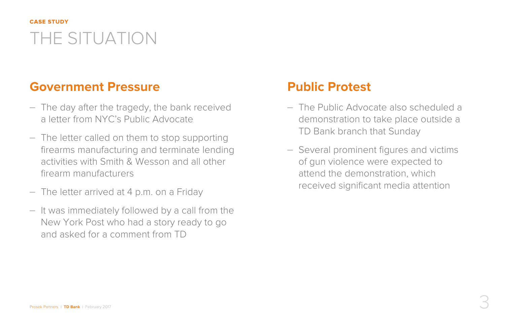# THE SITUATION CASE STUDY

## **Government Pressure**

- The day after the tragedy, the bank received a letter from NYC's Public Advocate
- The letter called on them to stop supporting firearms manufacturing and terminate lending activities with Smith & Wesson and all other firearm manufacturers
- The letter arrived at 4 p.m. on a Friday
- It was immediately followed by a call from the New York Post who had a story ready to go and asked for a comment from TD

## **Public Protest**

– The Public Advocate also scheduled a demonstration to take place outside a

- TD Bank branch that Sunday
- of gun violence were expected to attend the demonstration, which

– Several prominent figures and victims received significant media attention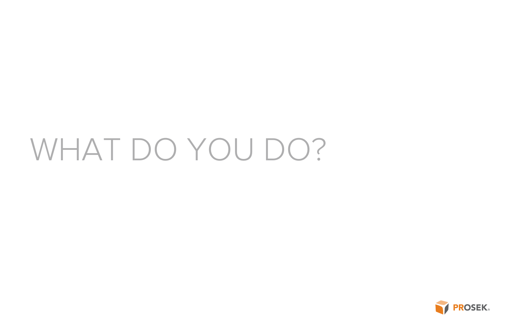# WHAT DO YOU DO?

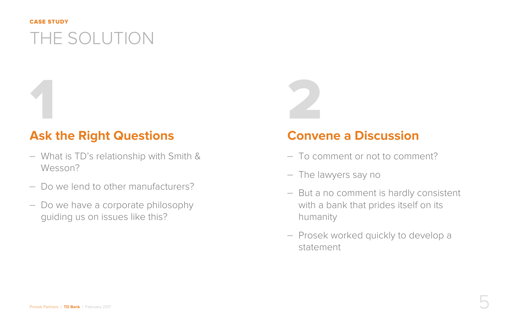# THE SOLUTION

### CASE STUDY

### **Ask the Right Questions**

- What is TD's relationship with Smith & Wesson?
- Do we lend to other manufacturers?
- Do we have a corporate philosophy guiding us on issues like this?

## **Convene a Discussion**

– But a no comment is hardly consistent

- To comment or not to comment?
- The lawyers say no
- with a bank that prides itself on its humanity
- Prosek worked quickly to develop a statement

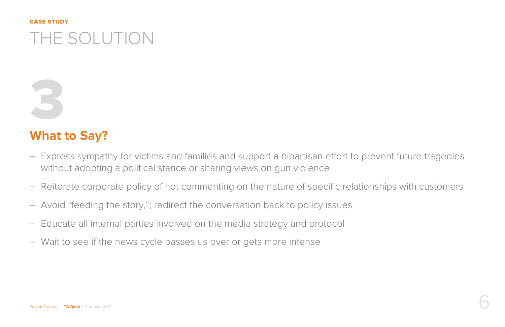# THE SOLUTION CASE STUDY

## **What to Say?**

- Express sympathy for victims and families and support a bipartisan effort to prevent future tragedies without adopting a political stance or sharing views on gun violence
- Reiterate corporate policy of not commenting on the nature of specific relationships with customers
- Avoid "feeding the story,"; redirect the conversation back to policy issues
- Educate all internal parties involved on the media strategy and protocol
- Wait to see if the news cycle passes us over or gets more intense

3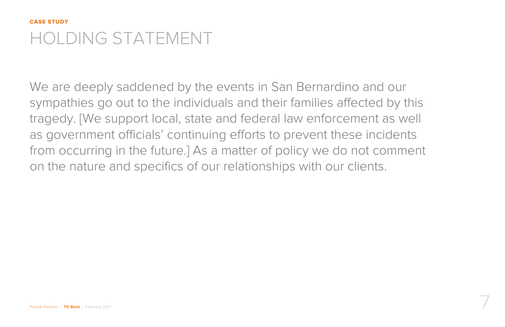# HOLDING STATEMENT CASE STUDY

We are deeply saddened by the events in San Bernardino and our sympathies go out to the individuals and their families affected by this tragedy. [We support local, state and federal law enforcement as well as government officials' continuing efforts to prevent these incidents from occurring in the future.] As a matter of policy we do not comment on the nature and specifics of our relationships with our clients.